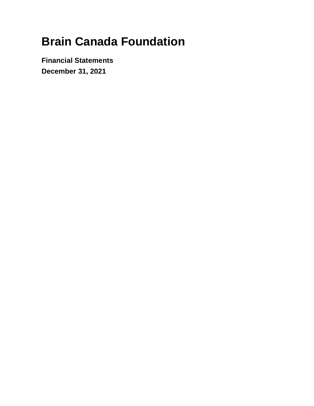# **Brain Canada Foundation**

**Financial Statements December 31, 2021**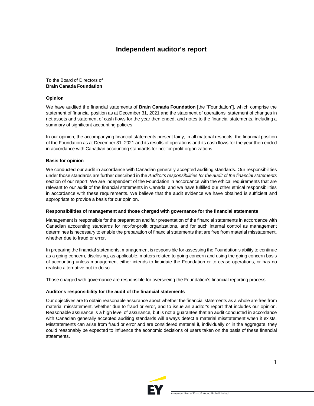### **Independent auditor's report**

To the Board of Directors of **Brain Canada Foundation**

#### **Opinion**

We have audited the financial statements of **Brain Canada Foundation** [the "Foundation"], which comprise the statement of financial position as at December 31, 2021 and the statement of operations, statement of changes in net assets and statement of cash flows for the year then ended, and notes to the financial statements, including a summary of significant accounting policies.

In our opinion, the accompanying financial statements present fairly, in all material respects, the financial position of the Foundation as at December 31, 2021 and its results of operations and its cash flows for the year then ended in accordance with Canadian accounting standards for not-for-profit organizations.

#### **Basis for opinion**

We conducted our audit in accordance with Canadian generally accepted auditing standards. Our responsibilities under those standards are further described in the *Auditor's responsibilities for the audit of the financial statements* section of our report. We are independent of the Foundation in accordance with the ethical requirements that are relevant to our audit of the financial statements in Canada, and we have fulfilled our other ethical responsibilities in accordance with these requirements. We believe that the audit evidence we have obtained is sufficient and appropriate to provide a basis for our opinion.

#### **Responsibilities of management and those charged with governance for the financial statements**

Management is responsible for the preparation and fair presentation of the financial statements in accordance with Canadian accounting standards for not-for-profit organizations, and for such internal control as management determines is necessary to enable the preparation of financial statements that are free from material misstatement, whether due to fraud or error.

In preparing the financial statements, management is responsible for assessing the Foundation's ability to continue as a going concern, disclosing, as applicable, matters related to going concern and using the going concern basis of accounting unless management either intends to liquidate the Foundation or to cease operations, or has no realistic alternative but to do so.

Those charged with governance are responsible for overseeing the Foundation's financial reporting process.

#### **Auditor's responsibility for the audit of the financial statements**

Our objectives are to obtain reasonable assurance about whether the financial statements as a whole are free from material misstatement, whether due to fraud or error, and to issue an auditor's report that includes our opinion. Reasonable assurance is a high level of assurance, but is not a guarantee that an audit conducted in accordance with Canadian generally accepted auditing standards will always detect a material misstatement when it exists. Misstatements can arise from fraud or error and are considered material if, individually or in the aggregate, they could reasonably be expected to influence the economic decisions of users taken on the basis of these financial statements.

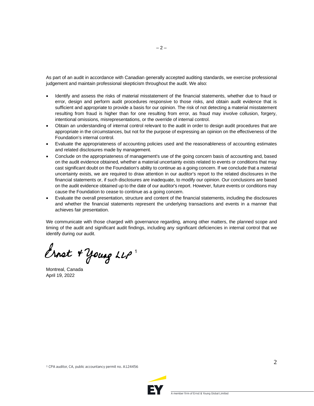As part of an audit in accordance with Canadian generally accepted auditing standards, we exercise professional judgement and maintain professional skepticism throughout the audit. We also:

 $-2-$ 

- Identify and assess the risks of material misstatement of the financial statements, whether due to fraud or error, design and perform audit procedures responsive to those risks, and obtain audit evidence that is sufficient and appropriate to provide a basis for our opinion. The risk of not detecting a material misstatement resulting from fraud is higher than for one resulting from error, as fraud may involve collusion, forgery, intentional omissions, misrepresentations, or the override of internal control.
- Obtain an understanding of internal control relevant to the audit in order to design audit procedures that are appropriate in the circumstances, but not for the purpose of expressing an opinion on the effectiveness of the Foundation's internal control.
- Evaluate the appropriateness of accounting policies used and the reasonableness of accounting estimates and related disclosures made by management.
- Conclude on the appropriateness of management's use of the going concern basis of accounting and, based on the audit evidence obtained, whether a material uncertainty exists related to events or conditions that may cast significant doubt on the Foundation's ability to continue as a going concern. If we conclude that a material uncertainty exists, we are required to draw attention in our auditor's report to the related disclosures in the financial statements or, if such disclosures are inadequate, to modify our opinion. Our conclusions are based on the audit evidence obtained up to the date of our auditor's report. However, future events or conditions may cause the Foundation to cease to continue as a going concern.
- Evaluate the overall presentation, structure and content of the financial statements, including the disclosures and whether the financial statements represent the underlying transactions and events in a manner that achieves fair presentation.

We communicate with those charged with governance regarding, among other matters, the planned scope and timing of the audit and significant audit findings, including any significant deficiencies in internal control that we identify during our audit.

Ernet + Young LLP

Montreal, Canada April 19, 2022

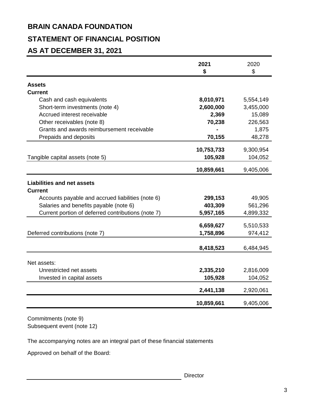# **STATEMENT OF FINANCIAL POSITION**

## **AS AT DECEMBER 31, 2021**

|                                                     | 2021<br>\$ | 2020<br>\$ |
|-----------------------------------------------------|------------|------------|
| <b>Assets</b>                                       |            |            |
| <b>Current</b>                                      |            |            |
| Cash and cash equivalents                           | 8,010,971  | 5,554,149  |
| Short-term investments (note 4)                     | 2,600,000  | 3,455,000  |
| Accrued interest receivable                         | 2,369      | 15,089     |
| Other receivables (note 8)                          | 70,238     | 226,563    |
| Grants and awards reimbursement receivable          |            | 1,875      |
| Prepaids and deposits                               | 70,155     | 48,278     |
|                                                     | 10,753,733 | 9,300,954  |
| Tangible capital assets (note 5)                    | 105,928    | 104,052    |
|                                                     | 10,859,661 | 9,405,006  |
| <b>Liabilities and net assets</b><br><b>Current</b> |            |            |
| Accounts payable and accrued liabilities (note 6)   | 299,153    | 49,905     |
| Salaries and benefits payable (note 6)              | 403,309    | 561,296    |
| Current portion of deferred contributions (note 7)  | 5,957,165  | 4,899,332  |
|                                                     | 6,659,627  | 5,510,533  |
| Deferred contributions (note 7)                     | 1,758,896  | 974,412    |
|                                                     |            |            |
|                                                     | 8,418,523  | 6,484,945  |
| Net assets:                                         |            |            |
| Unrestricted net assets                             | 2,335,210  | 2,816,009  |
| Invested in capital assets                          | 105,928    | 104,052    |
|                                                     | 2,441,138  | 2,920,061  |
|                                                     | 10,859,661 | 9,405,006  |

Commitments (note 9) Subsequent event (note 12)

The accompanying notes are an integral part of these financial statements

Approved on behalf of the Board: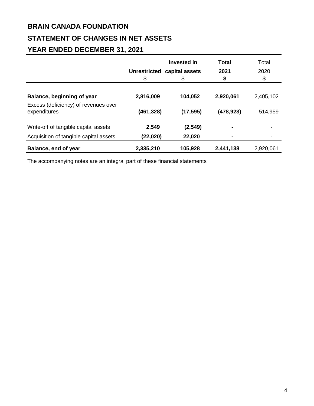# **BRAIN CANADA FOUNDATION STATEMENT OF CHANGES IN NET ASSETS YEAR ENDED DECEMBER 31, 2021**

|                                                      | <b>Unrestricted</b><br>\$ | Invested in<br>capital assets<br>\$ | <b>Total</b><br>2021<br>\$ | Total<br>2020<br>\$ |
|------------------------------------------------------|---------------------------|-------------------------------------|----------------------------|---------------------|
| Balance, beginning of year                           | 2,816,009                 | 104,052                             | 2,920,061                  | 2,405,102           |
| Excess (deficiency) of revenues over<br>expenditures | (461, 328)                | (17, 595)                           | (478, 923)                 | 514,959             |
| Write-off of tangible capital assets                 | 2,549                     | (2, 549)                            | ٠                          |                     |
| Acquisition of tangible capital assets               | (22, 020)                 | 22,020                              |                            |                     |
| Balance, end of year                                 | 2,335,210                 | 105,928                             | 2,441,138                  | 2,920,061           |

The accompanying notes are an integral part of these financial statements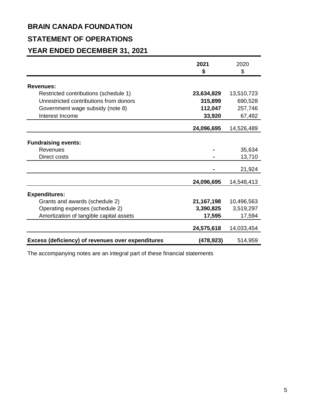# **STATEMENT OF OPERATIONS**

# **YEAR ENDED DECEMBER 31, 2021**

|                                                          | 2021         | 2020       |
|----------------------------------------------------------|--------------|------------|
|                                                          | \$           | \$         |
| <b>Revenues:</b>                                         |              |            |
|                                                          |              |            |
| Restricted contributions (schedule 1)                    | 23,634,829   | 13,510,723 |
| Unrestricted contributions from donors                   | 315,899      | 690,528    |
| Government wage subsidy (note 8)                         | 112,047      | 257,746    |
| Interest Income                                          | 33,920       | 67,492     |
|                                                          | 24,096,695   | 14,526,489 |
|                                                          |              |            |
| <b>Fundraising events:</b>                               |              |            |
| Revenues                                                 |              | 35,634     |
| Direct costs                                             |              | 13,710     |
|                                                          |              |            |
|                                                          |              | 21,924     |
|                                                          | 24,096,695   | 14,548,413 |
| <b>Expenditures:</b>                                     |              |            |
| Grants and awards (schedule 2)                           | 21, 167, 198 | 10,496,563 |
| Operating expenses (schedule 2)                          | 3,390,825    | 3,519,297  |
| Amortization of tangible capital assets                  | 17,595       | 17,594     |
|                                                          | 24,575,618   | 14,033,454 |
|                                                          |              |            |
| <b>Excess (deficiency) of revenues over expenditures</b> | (478, 923)   | 514,959    |

The accompanying notes are an integral part of these financial statements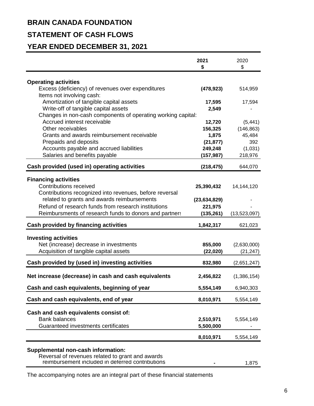# **STATEMENT OF CASH FLOWS**

# **YEAR ENDED DECEMBER 31, 2021**

|                                                                                                    | 2021<br>\$             | 2020<br>\$             |
|----------------------------------------------------------------------------------------------------|------------------------|------------------------|
|                                                                                                    |                        |                        |
| <b>Operating activities</b><br>Excess (deficiency) of revenues over expenditures                   | (478, 923)             | 514,959                |
| Items not involving cash:                                                                          |                        |                        |
| Amortization of tangible capital assets                                                            | 17,595                 | 17,594                 |
| Write-off of tangible capital assets                                                               | 2,549                  |                        |
| Changes in non-cash components of operating working capital:<br>Accrued interest receivable        |                        |                        |
| Other receivables                                                                                  | 12,720<br>156,325      | (5, 441)<br>(146, 863) |
| Grants and awards reimbursement receivable                                                         | 1,875                  | 45,484                 |
| Prepaids and deposits                                                                              | (21, 877)              | 392                    |
| Accounts payable and accrued liabilities                                                           | 249,248                | (1,031)                |
| Salaries and benefits payable                                                                      | (157, 987)             | 218,976                |
| Cash provided (used in) operating activities                                                       | (218, 475)             | 644,070                |
|                                                                                                    |                        |                        |
| <b>Financing activities</b>                                                                        |                        |                        |
| <b>Contributions received</b>                                                                      | 25,390,432             | 14,144,120             |
| Contributions recognized into revenues, before reversal                                            |                        |                        |
| related to grants and awards reimbursements<br>Refund of research funds from research institutions | (23, 634, 829)         |                        |
| Reimbursments of research funds to donors and partners                                             | 221,975<br>(135, 261)  | (13,523,097)           |
|                                                                                                    |                        |                        |
| <b>Cash provided by financing activities</b>                                                       | 1,842,317              | 621,023                |
| <b>Investing activities</b>                                                                        |                        |                        |
| Net (increase) decrease in investments                                                             | 855,000                | (2,630,000)            |
| Acquisition of tangible capital assets                                                             | (22, 020)              | (21, 247)              |
|                                                                                                    |                        |                        |
| Cash provided by (used in) investing activities                                                    | 832,980                | (2,651,247)            |
| Net increase (decrease) in cash and cash equivalents                                               | 2,456,822              | (1,386,154)            |
| Cash and cash equivalents, beginning of year                                                       | 5,554,149              | 6,940,303              |
| Cash and cash equivalents, end of year                                                             | 8,010,971              | 5,554,149              |
|                                                                                                    |                        |                        |
| Cash and cash equivalents consist of:<br><b>Bank balances</b>                                      |                        |                        |
| Guaranteed investments certificates                                                                | 2,510,971<br>5,500,000 | 5,554,149              |
|                                                                                                    |                        |                        |
|                                                                                                    | 8,010,971              | 5,554,149              |
| Supplemental non-cash information:                                                                 |                        |                        |
| Reversal of revenues related to grant and awards                                                   |                        |                        |
| reimbursement included in deterred contributions                                                   |                        | 1,875                  |

The accompanying notes are an integral part of these financial statements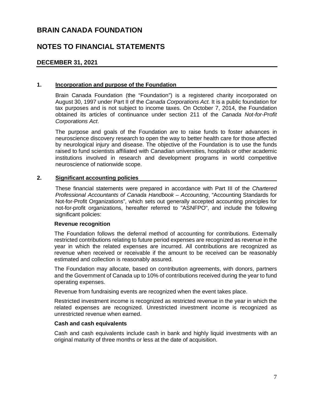# **NOTES TO FINANCIAL STATEMENTS**

### **DECEMBER 31, 2021**

### **1. Incorporation and purpose of the Foundation**

Brain Canada Foundation (the "Foundation") is a registered charity incorporated on August 30, 1997 under Part II of the *Canada Corporations Act.* It is a public foundation for tax purposes and is not subject to income taxes. On October 7, 2014, the Foundation obtained its articles of continuance under section 211 of the *Canada Not-for-Profit Corporations Act*.

The purpose and goals of the Foundation are to raise funds to foster advances in neuroscience discovery research to open the way to better health care for those affected by neurological injury and disease. The objective of the Foundation is to use the funds raised to fund scientists affiliated with Canadian universities, hospitals or other academic institutions involved in research and development programs in world competitive neuroscience of nationwide scope.

#### **2. Significant accounting policies**

These financial statements were prepared in accordance with Part III of the *Chartered Professional Accountants of Canada Handbook – Accounting*, "Accounting Standards for Not-for-Profit Organizations", which sets out generally accepted accounting principles for not-for-profit organizations, hereafter referred to "ASNFPO", and include the following significant policies:

#### **Revenue recognition**

The Foundation follows the deferral method of accounting for contributions. Externally restricted contributions relating to future period expenses are recognized as revenue in the year in which the related expenses are incurred. All contributions are recognized as revenue when received or receivable if the amount to be received can be reasonably estimated and collection is reasonably assured.

The Foundation may allocate, based on contribution agreements, with donors, partners and the Government of Canada up to 10% of contributions received during the year to fund operating expenses.

Revenue from fundraising events are recognized when the event takes place.

Restricted investment income is recognized as restricted revenue in the year in which the related expenses are recognized. Unrestricted investment income is recognized as unrestricted revenue when earned.

#### **Cash and cash equivalents**

Cash and cash equivalents include cash in bank and highly liquid investments with an original maturity of three months or less at the date of acquisition.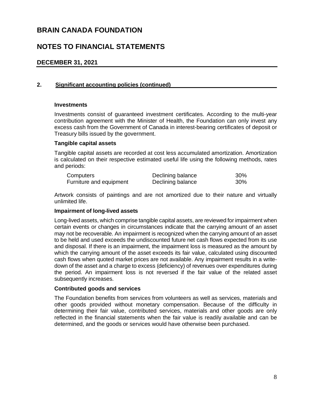# **NOTES TO FINANCIAL STATEMENTS**

### **DECEMBER 31, 2021**

### **2. Significant accounting policies (continued)**

#### **Investments**

Investments consist of guaranteed investment certificates. According to the multi-year contribution agreement with the Minister of Health, the Foundation can only invest any excess cash from the Government of Canada in interest-bearing certificates of deposit or Treasury bills issued by the government.

#### **Tangible capital assets**

Tangible capital assets are recorded at cost less accumulated amortization. Amortization is calculated on their respective estimated useful life using the following methods, rates and periods:

| Computers               | Declining balance | 30% |
|-------------------------|-------------------|-----|
| Furniture and equipment | Declining balance | 30% |

Artwork consists of paintings and are not amortized due to their nature and virtually unlimited life.

#### **Impairment of long-lived assets**

Long-lived assets, which comprise tangible capital assets, are reviewed for impairment when certain events or changes in circumstances indicate that the carrying amount of an asset may not be recoverable. An impairment is recognized when the carrying amount of an asset to be held and used exceeds the undiscounted future net cash flows expected from its use and disposal. If there is an impairment, the impairment loss is measured as the amount by which the carrying amount of the asset exceeds its fair value, calculated using discounted cash flows when quoted market prices are not available. Any impairment results in a writedown of the asset and a charge to excess (deficiency) of revenues over expenditures during the period. An impairment loss is not reversed if the fair value of the related asset subsequently increases.

#### **Contributed goods and services**

The Foundation benefits from services from volunteers as well as services, materials and other goods provided without monetary compensation. Because of the difficulty in determining their fair value, contributed services, materials and other goods are only reflected in the financial statements when the fair value is readily available and can be determined, and the goods or services would have otherwise been purchased.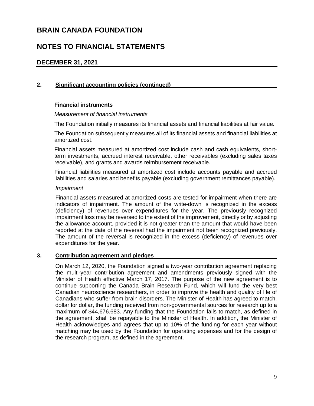# **NOTES TO FINANCIAL STATEMENTS**

### **DECEMBER 31, 2021**

### **2. Significant accounting policies (continued)**

### **Financial instruments**

#### *Measurement of financial instruments*

The Foundation initially measures its financial assets and financial liabilities at fair value.

The Foundation subsequently measures all of its financial assets and financial liabilities at amortized cost.

Financial assets measured at amortized cost include cash and cash equivalents, shortterm investments, accrued interest receivable, other receivables (excluding sales taxes receivable), and grants and awards reimbursement receivable.

Financial liabilities measured at amortized cost include accounts payable and accrued liabilities and salaries and benefits payable (excluding government remittances payable).

#### *Impairment*

Financial assets measured at amortized costs are tested for impairment when there are indicators of impairment. The amount of the write-down is recognized in the excess (deficiency) of revenues over expenditures for the year. The previously recognized impairment loss may be reversed to the extent of the improvement, directly or by adjusting the allowance account, provided it is not greater than the amount that would have been reported at the date of the reversal had the impairment not been recognized previously. The amount of the reversal is recognized in the excess (deficiency) of revenues over expenditures for the year.

#### **3. Contribution agreement and pledges**

On March 12, 2020, the Foundation signed a two-year contribution agreement replacing the multi-year contribution agreement and amendments previously signed with the Minister of Health effective March 17, 2017. The purpose of the new agreement is to continue supporting the Canada Brain Research Fund, which will fund the very best Canadian neuroscience researchers, in order to improve the health and quality of life of Canadians who suffer from brain disorders. The Minister of Health has agreed to match, dollar for dollar, the funding received from non-governmental sources for research up to a maximum of \$44,676,683. Any funding that the Foundation fails to match, as defined in the agreement, shall be repayable to the Minister of Health. In addition, the Minister of Health acknowledges and agrees that up to 10% of the funding for each year without matching may be used by the Foundation for operating expenses and for the design of the research program, as defined in the agreement.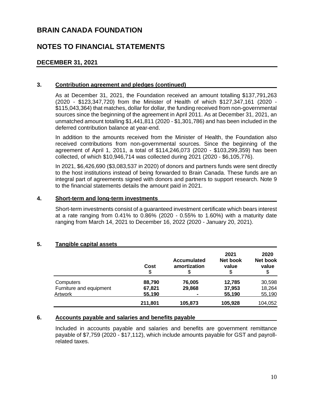# **NOTES TO FINANCIAL STATEMENTS**

### **DECEMBER 31, 2021**

### **3. Contribution agreement and pledges (continued)**

As at December 31, 2021, the Foundation received an amount totalling \$137,791,263 (2020 - \$123,347,720) from the Minister of Health of which \$127,347,161 (2020 - \$115,043,364) that matches, dollar for dollar, the funding received from non-governmental sources since the beginning of the agreement in April 2011. As at December 31, 2021, an unmatched amount totalling \$1,441,811 (2020 - \$1,301,786) and has been included in the deferred contribution balance at year-end.

In addition to the amounts received from the Minister of Health, the Foundation also received contributions from non-governmental sources. Since the beginning of the agreement of April 1, 2011, a total of \$114,246,073 (2020 - \$103,299,359) has been collected, of which \$10,946,714 was collected during 2021 (2020 - \$6,105,776).

In 2021, \$6,426,690 (\$3,083,537 in 2020) of donors and partners funds were sent directly to the host institutions instead of being forwarded to Brain Canada. These funds are an integral part of agreements signed with donors and partners to support research. Note 9 to the financial statements details the amount paid in 2021.

### **4. Short-term and long-term investments**

Short-term investments consist of a guaranteed investment certificate which bears interest at a rate ranging from 0.41% to 0.86% (2020 - 0.55% to 1.60%) with a maturity date ranging from March 14, 2021 to December 16, 2022 (2020 - January 20, 2021).

### **5. Tangible capital assets**

|                         | Cost<br>\$ | <b>Accumulated</b><br>amortization | 2021<br>Net book<br>value<br>S | 2020<br>Net book<br>value |
|-------------------------|------------|------------------------------------|--------------------------------|---------------------------|
| Computers               | 88,790     | 76,005                             | 12,785                         | 30,598                    |
| Furniture and equipment | 67,821     | 29,868                             | 37,953                         | 18,264                    |
| Artwork                 | 55,190     |                                    | 55,190                         | 55,190                    |
|                         | 211,801    | 105,873                            | 105,928                        | 104,052                   |

#### **6. Accounts payable and salaries and benefits payable**

Included in accounts payable and salaries and benefits are government remittance payable of \$7,759 (2020 - \$17,112), which include amounts payable for GST and payrollrelated taxes.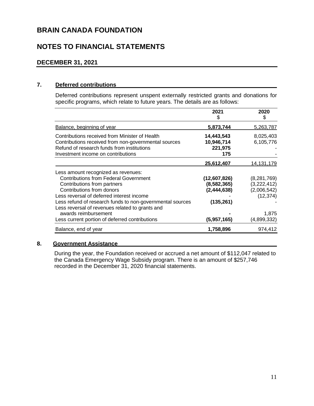# **NOTES TO FINANCIAL STATEMENTS**

### **DECEMBER 31, 2021**

### **7. Deferred contributions**

Deferred contributions represent unspent externally restricted grants and donations for specific programs, which relate to future years. The details are as follows:

|                                                           | 2021          | 2020              |
|-----------------------------------------------------------|---------------|-------------------|
|                                                           | \$            | \$                |
| Balance, beginning of year                                | 5,873,744     | 5,263,787         |
| Contributions received from Minister of Health            | 14,443,543    | 8,025,403         |
| Contributions received from non-governmental sources      | 10,946,714    | 6,105,776         |
| Refund of research funds from institutions                | 221,975       |                   |
| Investment income on contributions                        | 175           |                   |
|                                                           | 25,612,407    | <u>14,131,179</u> |
| Less amount recognized as revenues:                       |               |                   |
| <b>Contributions from Federal Government</b>              | (12,607,826)  | (8, 281, 769)     |
| Contributions from partners                               | (8, 582, 365) | (3,222,412)       |
| Contributions from donors                                 | (2,444,638)   | (2,006,542)       |
| Less reversal of deferred interest income                 |               | (12, 374)         |
| Less refund of research funds to non-governmental sources | (135, 261)    |                   |
| Less reversal of revenues related to grants and           |               |                   |
| awards reimbursement                                      |               | 1,875             |
| Less current portion of deferred contributions            | (5,957,165)   | (4,899,332)       |
| Balance, end of year                                      | 1,758,896     | 974,412           |

### **8. Government Assistance**

During the year, the Foundation received or accrued a net amount of \$112,047 related to the Canada Emergency Wage Subsidy program. There is an amount of \$257,746 recorded in the December 31, 2020 financial statements.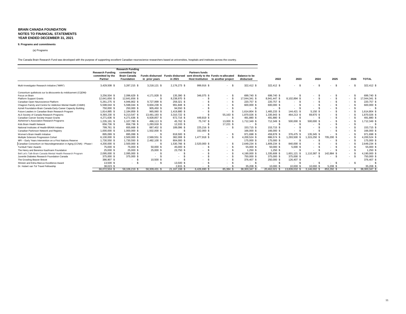#### **BRAIN CANADA FOUNDATION NOTES TO FINANCIAL STATEMENTS YEAR ENDED DECEMBER 31, 2021**

#### **9. Programs and commitments**

(a) Programs

The Canada Brain Research Fund was developed with the purpose of supporting excellent Canadian neuroscience researchers based at universities, hospitals and institutes across the country.

|                                                                  |                         | <b>Research Funding</b> |                        |                          |                          |                                         |                      |                                 |                          |                          |            |                                 |               |
|------------------------------------------------------------------|-------------------------|-------------------------|------------------------|--------------------------|--------------------------|-----------------------------------------|----------------------|---------------------------------|--------------------------|--------------------------|------------|---------------------------------|---------------|
|                                                                  | <b>Research Funding</b> | committed by            |                        |                          | <b>Partners funds</b>    |                                         |                      |                                 |                          |                          |            |                                 |               |
|                                                                  | committed by the        | <b>Brain Canada</b>     | <b>Funds disbursed</b> | <b>Funds disbursed</b>   |                          | sent directly to the Funds re-allocated | <b>Balance to be</b> |                                 |                          |                          |            |                                 |               |
|                                                                  | Partner                 | Foundation              | in prior vears         | in 2021                  |                          | Host Institution to another project     | disbursed            | 2022                            | 2023                     | 2024                     | 2025       | 2026                            | <b>TOTAL</b>  |
| Multi-Investigator Research Initiative ("MIRI")                  | 3,429,508 \$            | 3,287,215 \$            | 3,218,121 \$           | 2,176,273 \$             | 999,916 \$               | $-$ \$                                  | 322,412 \$           | 322,412 \$                      | $-5$                     |                          |            |                                 | 322,412 \$    |
| Consortium québécois sur la découverte du médicament (CQDM)-     |                         |                         |                        |                          |                          |                                         |                      |                                 |                          |                          |            |                                 |               |
| Focus on Brain                                                   | 3,256,504 \$            | 2,096,629 \$            | 4,171,928 \$           | 135,390 \$               | 346,075 \$               | $-$ \$                                  | 699.740 \$           | 699.740 \$                      |                          |                          |            | $\overline{\phantom{a}}$        | 699.740 \$    |
| <b>Platform Support Grants</b>                                   | 12,641,656 \$           | 12.641.656 \$           | $\sim$                 | 8,238,970 \$             | $\sim$                   | $\sim$                                  | 17.044.341 \$        | 8.941.447 \$                    | 8,102,894 \$             |                          |            | $\overline{\phantom{a}}$        | 17,044,341 \$ |
| Canadian Open Neuroscience Platform                              | 5,261,275 \$            | 4.946.802 \$            | 9,727,999 \$           | 259,321 \$               | $\sim$                   |                                         | 220.757 \$           | 220.757 \$                      |                          | $\overline{\phantom{a}}$ |            |                                 | 220.757 \$    |
| Chagnon Family and Centre for Addiction Mental Health (CAMH)     | 5,598,044 \$            | 5,598,044 \$            | 9,604,239 \$           | 991,848 \$               | $\sim$                   | $\sim$                                  | 600,000 \$           | 600,000 \$                      | $\sim$                   | $\overline{\phantom{a}}$ | $\sim$     | $\overline{\phantom{a}}$        | 600,000 \$    |
| Azrieli Foundation-Brain Canada Early-Career Capacity Building   | 750,000 \$              | 250,000 \$              | 905.450 \$             | 94.550 \$                | $\sim$                   | $\sim$                                  |                      | $\overline{\phantom{a}}$        |                          | $\overline{\phantom{a}}$ |            | $\overline{\phantom{a}}$        | $\sim$        |
| Future Leaders in Canadian Brain Research Program                | 1,814,885 \$            | 2.184.859 \$            | 965,060 \$             | 1,419,880 \$             |                          |                                         | 1.614.804 \$         | 1.465.233 \$                    | 144.421 \$               | 5.150 \$                 |            | $\overline{\phantom{a}}$        | 1.614.804 \$  |
| ALS Society of Canada Research Programs                          | 9,393,230 \$            | 9,213,547 \$            | 13,481,193 \$          | 3,310,722 \$             | $\overline{\phantom{a}}$ | 55.163 \$                               | 1,870,026 \$         | 1.335.943 \$                    | 464.213 \$               | 69,870 \$                |            | $\overline{\phantom{a}}$        | 1.870.026 \$  |
| Canadian Cancer Society-Impact Grants                            | 4.271.636 \$            | 4.271.636 \$            | 6.928.857 \$           | 672.716 \$               | 449.819 \$               | $\sim$                                  | 491.880 \$           | 491.880 \$                      | $\sim$                   |                          |            | $\sim$                          | 491.880 \$    |
| Alzheimer's Association Research Programs                        | 1,235,191 \$            | 1.107.780 \$            | 496.113 \$             | 45,762 \$                | 75,747 \$                | 13,000 \$                               | 1.712.349 \$         | 712,349 \$                      | 500,000 \$               | 500,000 \$               |            |                                 | 1,712,349 \$  |
| Kids Brain Health Network                                        | 656,736 \$              | 656,736 \$              | 1.283.918 \$           | 12.333 \$                | $\sim$                   | 17.221 \$                               |                      | $\overline{\phantom{a}}$        | $\sim$                   |                          | $\sim$     | $\overline{\phantom{a}}$        | ۰.            |
| National Institutes of Health-BRAIN Initiative                   | 799,761 \$              | 655,668 \$              | 887,402 \$             | 189,096 \$               | 225,216 \$               | -8                                      | 153.715 \$           | 153.715 \$                      |                          |                          |            |                                 | 153.715 \$    |
| Canadian Parkinson Network and Registry                          | 1,000,000 \$            | 1,000,000 \$            | 1,502,000 \$           | $\sim$                   | 332,000 \$               |                                         | 166,000 \$           | 166,000 \$                      | $\overline{\phantom{a}}$ | $\overline{\phantom{a}}$ |            | - 9<br>$\overline{\phantom{a}}$ | 166,000 \$    |
| Women's Brain Health Initiative                                  | 895,099 \$              | 895,099 \$              |                        | 818,500 \$               |                          | - \$                                    | 971.698 \$           | 459,878 \$                      | 376,475 \$               | 135,345 \$               |            | $\overline{\phantom{a}}$        | 971.698 \$    |
| Multiple Sclerosis Progression Cohort                            | 6,130,000 \$            | 2,500,000 \$            | 2,569,551 \$           | 382,008 \$               | 1,477,918 \$             | - \$<br>$\sim$                          | 4,200,524 \$         | 886,574 \$                      | 293,500 \$               | 1,315,250 \$             | 705,200 \$ | $\overline{\phantom{a}}$        | 4,200,524 \$  |
| MFI - Early Years Intervention on a First Nations Reserve        | 1,730,550 \$            | 1.730.550 \$            | 2,482,100 \$           | 804,000 \$               |                          |                                         | 175,000 \$           | 175,000 \$                      | $\sim$                   | $\overline{\phantom{a}}$ |            | $\sim$                          | 175,000 \$    |
| Canadian Consortium on Neurodegeneration in Aging (CCNA) - Phase | 4,200,000 \$            | 2,500,000 \$            | $\sim$                 | 1,530,766 \$             | 2.520.000 \$             | - S<br>$\sim$                           | 2,649,234 \$         | 1,809,234 \$                    | 840,000 \$               |                          |            |                                 | 2,649,234 \$  |
| <b>Turnbull-Tator Awards</b>                                     | 75,000 \$               | 75,000 \$               | 50,000 \$              | 45,000 \$                |                          | $\sim$                                  | 55,000 \$            | 50,000 \$                       | 5,000 \$                 | $\overline{\phantom{a}}$ |            | $\overline{\phantom{a}}$        | 55,000 \$     |
| The Henry and Berenice Kaufmann Foundation                       | 25,000 \$               | 25,000 \$               | 25,000 \$              | 23,750 \$                |                          | $\sim$                                  | $1.250$ \$           | $1.250$ \$                      | $\sim$                   |                          |            |                                 | $1.250$ \$    |
| Bell Let's Talk-Brain Canada Mental Health Research Program      | 2,095,000 \$            | 2.095.000 \$            | $\sim$                 |                          |                          | $\sim$                                  | 4,190,000 \$         | 1,335,608 \$                    | 1.601.121 \$             | 1,110,387 \$             | 142.884 \$ | $\overline{\phantom{a}}$        | 4,190,000 \$  |
| Juvenile Diabetes Research Foundation Canada                     | 375,000 \$              | 375,000 \$              |                        | $\overline{\phantom{a}}$ | $\overline{\phantom{a}}$ | $\overline{\phantom{a}}$                | 750,000 \$           | 375,000 \$                      | 375,000 \$               |                          |            |                                 | 750,000 \$    |
| The Growling Beaver Brevet                                       | 386.907 \$              | $\sim$                  | 10,500 \$              | $\overline{\phantom{a}}$ |                          | $\sim$                                  | 376,407 \$           | 250,000 \$                      | 126,407 \$               |                          |            |                                 | 376,407 \$    |
| Shireen and Edna Marcus Excellence Award                         | 13,500 \$               |                         |                        | 13,500 \$                |                          | $\overline{\phantom{a}}$                |                      | - 3<br>$\overline{\phantom{a}}$ | $\sim$                   | $\overline{\phantom{a}}$ | $\sim$     | - \$<br>$\sim$                  |               |
| Dr. Hubert van Tol Travel Fellowship                             | 38,023 \$               |                         |                        | $2.815$ \$               | $\sim$                   | $\sim$                                  | 35,208 \$            | 10,000 \$                       | 10,000 :                 | 10,000 \$                | 5.208 \$   |                                 | 35,208 \$     |
|                                                                  | 66,072,504 \$           | 58,106,219 \$           | 58,309,431 \$          | 21,167,198 \$            | 6,426,690 \$             | 85,384 \$                               | 38,300,347 \$        | 20,462,021 \$                   | 13,839,032 \$            | 3,146,002 \$             | 853,292 \$ |                                 | 38,300,347 \$ |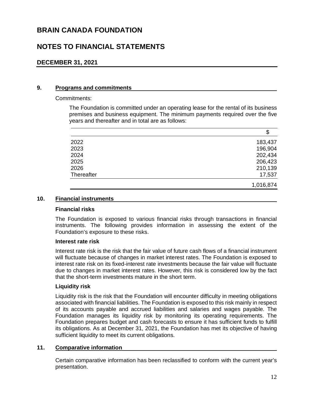# **NOTES TO FINANCIAL STATEMENTS**

### **DECEMBER 31, 2021**

### **9. Programs and commitments**

Commitments:

The Foundation is committed under an operating lease for the rental of its business premises and business equipment. The minimum payments required over the five years and thereafter and in total are as follows:

|            | J         |
|------------|-----------|
| 2022       | 183,437   |
| 2023       | 196,904   |
| 2024       | 202,434   |
| 2025       | 206,423   |
| 2026       | 210,139   |
| Thereafter | 17,537    |
|            | 1,016,874 |

#### **10. Financial instruments**

#### **Financial risks**

The Foundation is exposed to various financial risks through transactions in financial instruments. The following provides information in assessing the extent of the Foundation's exposure to these risks.

#### **Interest rate risk**

Interest rate risk is the risk that the fair value of future cash flows of a financial instrument will fluctuate because of changes in market interest rates. The Foundation is exposed to interest rate risk on its fixed-interest rate investments because the fair value will fluctuate due to changes in market interest rates. However, this risk is considered low by the fact that the short-term investments mature in the short term.

#### **Liquidity risk**

Liquidity risk is the risk that the Foundation will encounter difficulty in meeting obligations associated with financial liabilities. The Foundation is exposed to this risk mainly in respect of its accounts payable and accrued liabilities and salaries and wages payable. The Foundation manages its liquidity risk by monitoring its operating requirements. The Foundation prepares budget and cash forecasts to ensure it has sufficient funds to fulfill its obligations. As at December 31, 2021, the Foundation has met its objective of having sufficient liquidity to meet its current obligations.

#### **11. Comparative information**

Certain comparative information has been reclassified to conform with the current year's presentation.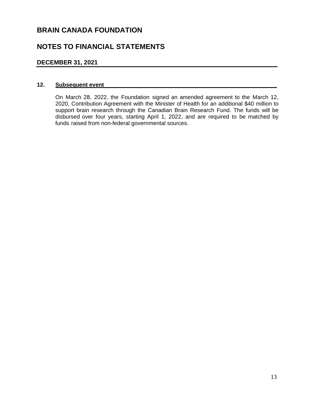# **NOTES TO FINANCIAL STATEMENTS**

### **DECEMBER 31, 2021**

### **12. Subsequent event**

On March 28, 2022, the Foundation signed an amended agreement to the March 12, 2020, Contribution Agreement with the Minister of Health for an additional \$40 million to support brain research through the Canadian Brain Research Fund. The funds will be disbursed over four years, starting April 1, 2022, and are required to be matched by funds raised from non-federal governmental sources.